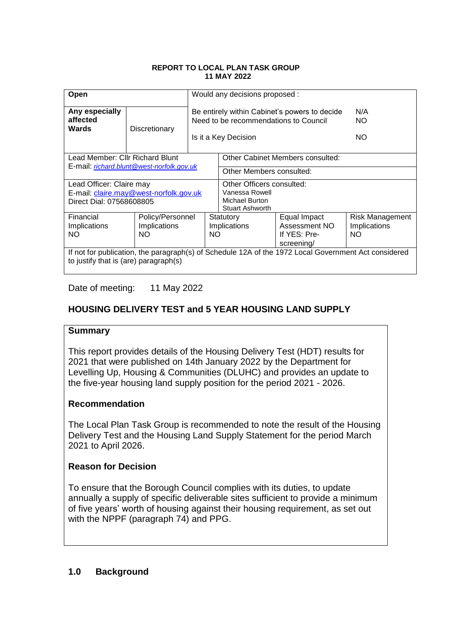#### **REPORT TO LOCAL PLAN TASK GROUP 11 MAY 2022**

| Open                                                                                                                                          |                     | Would any decisions proposed :                                                                                 |                                                                                  |                                                             |                                               |  |  |
|-----------------------------------------------------------------------------------------------------------------------------------------------|---------------------|----------------------------------------------------------------------------------------------------------------|----------------------------------------------------------------------------------|-------------------------------------------------------------|-----------------------------------------------|--|--|
| Any especially<br>affected<br>Wards                                                                                                           | Discretionary       | Be entirely within Cabinet's powers to decide<br>Need to be recommendations to Council<br>Is it a Key Decision |                                                                                  |                                                             | N/A<br><b>NO</b><br>NO.                       |  |  |
| Lead Member: Cllr Richard Blunt                                                                                                               |                     |                                                                                                                | Other Cabinet Members consulted:                                                 |                                                             |                                               |  |  |
| E-mail: richard.blunt@west-norfolk.gov.uk                                                                                                     |                     |                                                                                                                | Other Members consulted:                                                         |                                                             |                                               |  |  |
| Lead Officer: Claire may<br>E-mail: claire.may@west-norfolk.gov.uk<br>Direct Dial: 07568608805                                                |                     |                                                                                                                | Other Officers consulted:<br>Vanessa Rowell<br>Michael Burton<br>Stuart Ashworth |                                                             |                                               |  |  |
| Financial<br>Implications<br>NO.                                                                                                              | Implications<br>NO. | Policy/Personnel<br>Statutory<br>Implications<br><b>NO</b>                                                     |                                                                                  | Equal Impact<br>Assessment NO<br>If YES: Pre-<br>screening/ | Risk Management<br><b>Implications</b><br>NO. |  |  |
| If not for publication, the paragraph(s) of Schedule 12A of the 1972 Local Government Act considered<br>to justify that is (are) paragraph(s) |                     |                                                                                                                |                                                                                  |                                                             |                                               |  |  |

Date of meeting: 11 May 2022

## **HOUSING DELIVERY TEST and 5 YEAR HOUSING LAND SUPPLY**

## **Summary**

This report provides details of the Housing Delivery Test (HDT) results for 2021 that were published on 14th January 2022 by the Department for Levelling Up, Housing & Communities (DLUHC) and provides an update to the five-year housing land supply position for the period 2021 - 2026.

## **Recommendation**

The Local Plan Task Group is recommended to note the result of the Housing Delivery Test and the Housing Land Supply Statement for the period March 2021 to April 2026.

## **Reason for Decision**

To ensure that the Borough Council complies with its duties, to update annually a supply of specific deliverable sites sufficient to provide a minimum of five years' worth of housing against their housing requirement, as set out with the NPPF (paragraph 74) and PPG.

## **1.0 Background**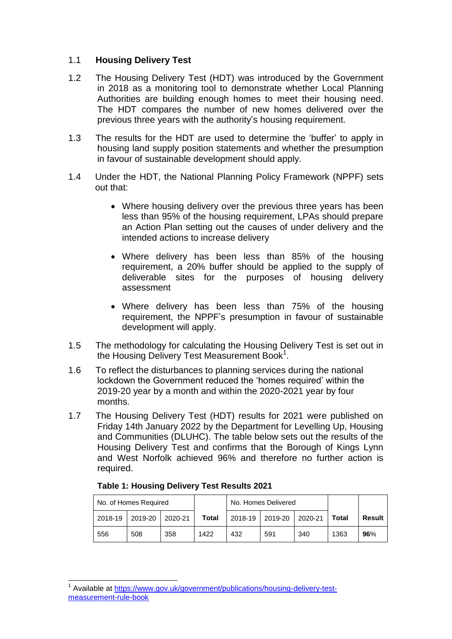## 1.1 **Housing Delivery Test**

- 1.2 The Housing Delivery Test (HDT) was introduced by the Government in 2018 as a monitoring tool to demonstrate whether Local Planning Authorities are building enough homes to meet their housing need. The HDT compares the number of new homes delivered over the previous three years with the authority's housing requirement.
- 1.3 The results for the HDT are used to determine the 'buffer' to apply in housing land supply position statements and whether the presumption in favour of sustainable development should apply.
- 1.4 Under the HDT, the National Planning Policy Framework (NPPF) sets out that:
	- Where housing delivery over the previous three years has been less than 95% of the housing requirement, LPAs should prepare an Action Plan setting out the causes of under delivery and the intended actions to increase delivery
	- Where delivery has been less than 85% of the housing requirement, a 20% buffer should be applied to the supply of deliverable sites for the purposes of housing delivery assessment
	- Where delivery has been less than 75% of the housing requirement, the NPPF's presumption in favour of sustainable development will apply.
- 1.5 The methodology for calculating the Housing Delivery Test is set out in the Housing Delivery Test Measurement Book<sup>1</sup>.
- 1.6 To reflect the disturbances to planning services during the national lockdown the Government reduced the 'homes required' within the 2019-20 year by a month and within the 2020-2021 year by four months.
- 1.7 The Housing Delivery Test (HDT) results for 2021 were published on Friday 14th January 2022 by the Department for Levelling Up, Housing and Communities (DLUHC). The table below sets out the results of the Housing Delivery Test and confirms that the Borough of Kings Lynn and West Norfolk achieved 96% and therefore no further action is required.

## **Table 1: Housing Delivery Test Results 2021**

| No. of Homes Required |         |         | No. Homes Delivered |         |         |         |       |               |
|-----------------------|---------|---------|---------------------|---------|---------|---------|-------|---------------|
| 2018-19               | 2019-20 | 2020-21 | Total               | 2018-19 | 2019-20 | 2020-21 | Total | <b>Result</b> |
| 556                   | 508     | 358     | 1422                | 432     | 591     | 340     | 1363  | 96%           |

 1 Available at [https://www.gov.uk/government/publications/housing-delivery-test](https://www.gov.uk/government/publications/housing-delivery-test-measurement-rule-book)[measurement-rule-book](https://www.gov.uk/government/publications/housing-delivery-test-measurement-rule-book)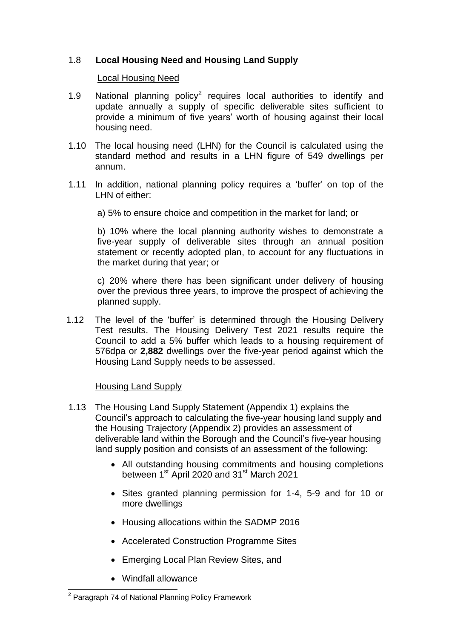## 1.8 **Local Housing Need and Housing Land Supply**

### Local Housing Need

- 1.9 National planning policy<sup>2</sup> requires local authorities to identify and update annually a supply of specific deliverable sites sufficient to provide a minimum of five years' worth of housing against their local housing need.
- 1.10 The local housing need (LHN) for the Council is calculated using the standard method and results in a LHN figure of 549 dwellings per annum.
- 1.11 In addition, national planning policy requires a 'buffer' on top of the LHN of either:
	- a) 5% to ensure choice and competition in the market for land; or

b) 10% where the local planning authority wishes to demonstrate a five-year supply of deliverable sites through an annual position statement or recently adopted plan, to account for any fluctuations in the market during that year; or

c) 20% where there has been significant under delivery of housing over the previous three years, to improve the prospect of achieving the planned supply.

1.12 The level of the 'buffer' is determined through the Housing Delivery Test results. The Housing Delivery Test 2021 results require the Council to add a 5% buffer which leads to a housing requirement of 576dpa or **2,882** dwellings over the five-year period against which the Housing Land Supply needs to be assessed.

#### Housing Land Supply

- 1.13 The Housing Land Supply Statement (Appendix 1) explains the Council's approach to calculating the five-year housing land supply and the Housing Trajectory (Appendix 2) provides an assessment of deliverable land within the Borough and the Council's five-year housing land supply position and consists of an assessment of the following:
	- All outstanding housing commitments and housing completions between 1<sup>st</sup> April 2020 and 31<sup>st</sup> March 2021
	- Sites granted planning permission for 1-4, 5-9 and for 10 or more dwellings
	- Housing allocations within the SADMP 2016
	- Accelerated Construction Programme Sites
	- Emerging Local Plan Review Sites, and
	- Windfall allowance

<sup>-</sup><sup>2</sup> Paragraph 74 of National Planning Policy Framework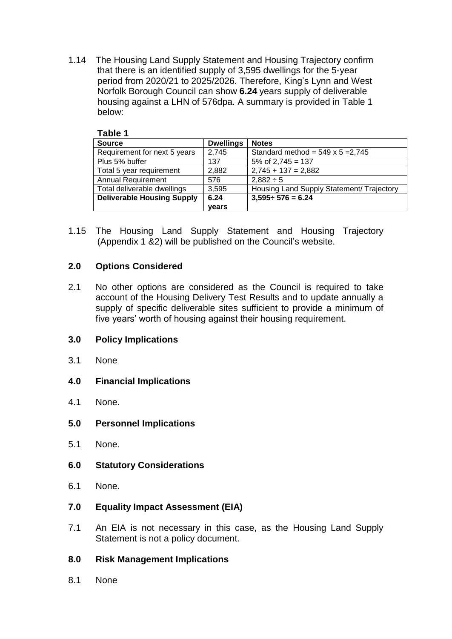1.14 The Housing Land Supply Statement and Housing Trajectory confirm that there is an identified supply of 3,595 dwellings for the 5-year period from 2020/21 to 2025/2026. Therefore, King's Lynn and West Norfolk Borough Council can show **6.24** years supply of deliverable housing against a LHN of 576dpa. A summary is provided in Table 1 below:

| Table 1                           |                  |                                           |  |  |  |
|-----------------------------------|------------------|-------------------------------------------|--|--|--|
| <b>Source</b>                     | <b>Dwellings</b> | <b>Notes</b>                              |  |  |  |
| Requirement for next 5 years      | 2,745            | Standard method = $549 \times 5 = 2,745$  |  |  |  |
| Plus 5% buffer                    | 137              | $5\%$ of 2,745 = 137                      |  |  |  |
| Total 5 year requirement          | 2,882            | $2,745 + 137 = 2,882$                     |  |  |  |
| <b>Annual Requirement</b>         | 576              | $2,882 \div 5$                            |  |  |  |
| Total deliverable dwellings       | 3,595            | Housing Land Supply Statement/ Trajectory |  |  |  |
| <b>Deliverable Housing Supply</b> | 6.24             | $3,595 \div 576 = 6.24$                   |  |  |  |
|                                   | vears            |                                           |  |  |  |

1.15 The Housing Land Supply Statement and Housing Trajectory (Appendix 1 &2) will be published on the Council's website.

## **2.0 Options Considered**

2.1 No other options are considered as the Council is required to take account of the Housing Delivery Test Results and to update annually a supply of specific deliverable sites sufficient to provide a minimum of five years' worth of housing against their housing requirement.

## **3.0 Policy Implications**

- 3.1 None
- **4.0 Financial Implications**
- 4.1 None.
- **5.0 Personnel Implications**
- 5.1 None.
- **6.0 Statutory Considerations**
- 6.1 None.
- **7.0 Equality Impact Assessment (EIA)**
- 7.1 An EIA is not necessary in this case, as the Housing Land Supply Statement is not a policy document.

## **8.0 Risk Management Implications**

8.1 None